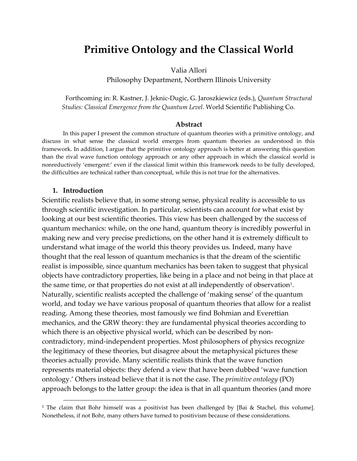# **Primitive Ontology and the Classical World**

Valia Allori

Philosophy Department, Northern Illinois University

Forthcoming in: R. Kastner, J. Jeknic-Dugic, G. Jaroszkiewicz (eds.), *Quantum Structural Studies: Classical Emergence from the Quantum Level*. World Scientific Publishing Co.

#### **Abstract**

In this paper I present the common structure of quantum theories with a primitive ontology, and discuss in what sense the classical world emerges from quantum theories as understood in this framework. In addition, I argue that the primitive ontology approach is better at answering this question than the rival wave function ontology approach or any other approach in which the classical world is nonreductively 'emergent:' even if the classical limit within this framework needs to be fully developed, the difficulties are technical rather than conceptual, while this is not true for the alternatives.

#### **1. Introduction**

l

Scientific realists believe that, in some strong sense, physical reality is accessible to us through scientific investigation. In particular, scientists can account for what exist by looking at our best scientific theories. This view has been challenged by the success of quantum mechanics: while, on the one hand, quantum theory is incredibly powerful in making new and very precise predictions, on the other hand it is extremely difficult to understand what image of the world this theory provides us. Indeed, many have thought that the real lesson of quantum mechanics is that the dream of the scientific realist is impossible, since quantum mechanics has been taken to suggest that physical objects have contradictory properties, like being in a place and not being in that place at the same time, or that properties do not exist at all independently of observation<sup>1</sup>. Naturally, scientific realists accepted the challenge of 'making sense' of the quantum world, and today we have various proposal of quantum theories that allow for a realist reading. Among these theories, most famously we find Bohmian and Everettian mechanics, and the GRW theory: they are fundamental physical theories according to which there is an objective physical world, which can be described by noncontradictory, mind-independent properties. Most philosophers of physics recognize the legitimacy of these theories, but disagree about the metaphysical pictures these theories actually provide. Many scientific realists think that the wave function represents material objects: they defend a view that have been dubbed 'wave function ontology.' Others instead believe that it is not the case. The *primitive ontology* (PO) approach belongs to the latter group: the idea is that in all quantum theories (and more

<sup>&</sup>lt;sup>1</sup> The claim that Bohr himself was a positivist has been challenged by [Bai & Stachel, this volume]. Nonetheless, if not Bohr, many others have turned to positivism because of these considerations.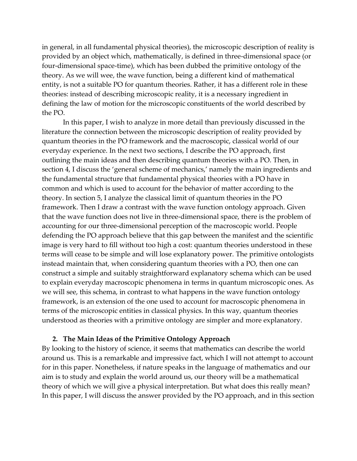in general, in all fundamental physical theories), the microscopic description of reality is provided by an object which, mathematically, is defined in three-dimensional space (or four-dimensional space-time), which has been dubbed the primitive ontology of the theory. As we will wee, the wave function, being a different kind of mathematical entity, is not a suitable PO for quantum theories. Rather, it has a different role in these theories: instead of describing microscopic reality, it is a necessary ingredient in defining the law of motion for the microscopic constituents of the world described by the PO.

In this paper, I wish to analyze in more detail than previously discussed in the literature the connection between the microscopic description of reality provided by quantum theories in the PO framework and the macroscopic, classical world of our everyday experience. In the next two sections, I describe the PO approach, first outlining the main ideas and then describing quantum theories with a PO. Then, in section 4, I discuss the 'general scheme of mechanics,' namely the main ingredients and the fundamental structure that fundamental physical theories with a PO have in common and which is used to account for the behavior of matter according to the theory. In section 5, I analyze the classical limit of quantum theories in the PO framework. Then I draw a contrast with the wave function ontology approach. Given that the wave function does not live in three-dimensional space, there is the problem of accounting for our three-dimensional perception of the macroscopic world. People defending the PO approach believe that this gap between the manifest and the scientific image is very hard to fill without too high a cost: quantum theories understood in these terms will cease to be simple and will lose explanatory power. The primitive ontologists instead maintain that, when considering quantum theories with a PO, then one can construct a simple and suitably straightforward explanatory schema which can be used to explain everyday macroscopic phenomena in terms in quantum microscopic ones. As we will see, this schema, in contrast to what happens in the wave function ontology framework, is an extension of the one used to account for macroscopic phenomena in terms of the microscopic entities in classical physics. In this way, quantum theories understood as theories with a primitive ontology are simpler and more explanatory.

#### **2. The Main Ideas of the Primitive Ontology Approach**

By looking to the history of science, it seems that mathematics can describe the world around us. This is a remarkable and impressive fact, which I will not attempt to account for in this paper. Nonetheless, if nature speaks in the language of mathematics and our aim is to study and explain the world around us, our theory will be a mathematical theory of which we will give a physical interpretation. But what does this really mean? In this paper, I will discuss the answer provided by the PO approach, and in this section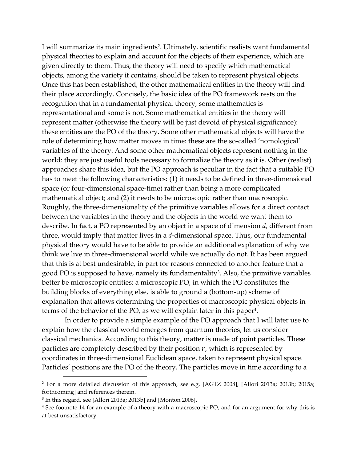I will summarize its main ingredients<sup>2</sup>. Ultimately, scientific realists want fundamental physical theories to explain and account for the objects of their experience, which are given directly to them. Thus, the theory will need to specify which mathematical objects, among the variety it contains, should be taken to represent physical objects. Once this has been established, the other mathematical entities in the theory will find their place accordingly. Concisely, the basic idea of the PO framework rests on the recognition that in a fundamental physical theory, some mathematics is representational and some is not. Some mathematical entities in the theory will represent matter (otherwise the theory will be just devoid of physical significance): these entities are the PO of the theory. Some other mathematical objects will have the role of determining how matter moves in time: these are the so-called 'nomological' variables of the theory. And some other mathematical objects represent nothing in the world: they are just useful tools necessary to formalize the theory as it is. Other (realist) approaches share this idea, but the PO approach is peculiar in the fact that a suitable PO has to meet the following characteristics: (1) it needs to be defined in three-dimensional space (or four-dimensional space-time) rather than being a more complicated mathematical object; and (2) it needs to be microscopic rather than macroscopic. Roughly, the three-dimensionality of the primitive variables allows for a direct contact between the variables in the theory and the objects in the world we want them to describe. In fact, a PO represented by an object in a space of dimension *d*, different from three, would imply that matter lives in a *d*-dimensional space. Thus, our fundamental physical theory would have to be able to provide an additional explanation of why we think we live in three-dimensional world while we actually do not. It has been argued that this is at best undesirable, in part for reasons connected to another feature that a good PO is supposed to have, namely its fundamentality<sup>3</sup>. Also, the primitive variables better be microscopic entities: a microscopic PO, in which the PO constitutes the building blocks of everything else, is able to ground a (bottom-up) scheme of explanation that allows determining the properties of macroscopic physical objects in terms of the behavior of the PO, as we will explain later in this paper<sup>4</sup>.

In order to provide a simple example of the PO approach that I will later use to explain how the classical world emerges from quantum theories, let us consider classical mechanics. According to this theory, matter is made of point particles. These particles are completely described by their position  $r$ , which is represented by coordinates in three-dimensional Euclidean space, taken to represent physical space. Particles' positions are the PO of the theory. The particles move in time according to a

<sup>2</sup> For a more detailed discussion of this approach, see e.g. [AGTZ 2008], [Allori 2013a; 2013b; 2015a; forthcoming] and references therein.

<sup>&</sup>lt;sup>3</sup> In this regard, see [Allori 2013a; 2013b] and [Monton 2006].

<sup>4</sup> See footnote 14 for an example of a theory with a macroscopic PO, and for an argument for why this is at best unsatisfactory.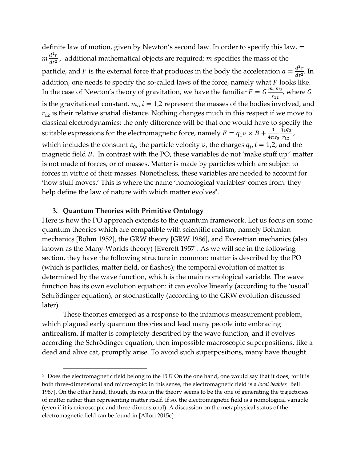definite law of motion, given by Newton's second law. In order to specify this law, =  $m \frac{d^2r}{dt^2}$  $\frac{d}{dt^2}$ , additional mathematical objects are required: *m* specifies the mass of the particle, and F is the external force that produces in the body the acceleration  $a = \frac{d^2r}{dt^2}$  $\frac{d}{dt^2}$ . In addition, one needs to specify the so-called laws of the force, namely what  $F$  looks like. In the case of Newton's theory of gravitation, we have the familiar  $F = G \frac{m_1 m_2}{r}$  $\frac{u_1m_2}{r_{12}}$ , where G is the gravitational constant,  $m_i$ ,  $i = 1,2$  represent the masses of the bodies involved, and  $r_{12}$  is their relative spatial distance. Nothing changes much in this respect if we move to classical electrodynamics: the only difference will be that one would have to specify the suitable expressions for the electromagnetic force, namely  $F = q_1 v \times B + \frac{1}{4\pi}$  $4\pi\varepsilon_0$  $q_1q_2$  $\frac{1142}{r_{12}}$  , which includes the constant  $\varepsilon_0$ , the particle velocity  $v$ , the charges  $q_i$ ,  $i = 1,2$ , and the magnetic field  $B$ . In contrast with the PO, these variables do not 'make stuff up:' matter is not made of forces, or of masses. Matter is made by particles which are subject to forces in virtue of their masses. Nonetheless, these variables are needed to account for 'how stuff moves.' This is where the name 'nomological variables' comes from: they help define the law of nature with which matter evolves<sup>5</sup>.

#### **3. Quantum Theories with Primitive Ontology**

l

Here is how the PO approach extends to the quantum framework. Let us focus on some quantum theories which are compatible with scientific realism, namely Bohmian mechanics [Bohm 1952], the GRW theory [GRW 1986], and Everettian mechanics (also known as the Many-Worlds theory) [Everett 1957]. As we will see in the following section, they have the following structure in common: matter is described by the PO (which is particles, matter field, or flashes); the temporal evolution of matter is determined by the wave function, which is the main nomological variable. The wave function has its own evolution equation: it can evolve linearly (according to the 'usual' Schrödinger equation), or stochastically (according to the GRW evolution discussed later).

These theories emerged as a response to the infamous measurement problem, which plagued early quantum theories and lead many people into embracing antirealism. If matter is completely described by the wave function, and it evolves according the Schrödinger equation, then impossible macroscopic superpositions, like a dead and alive cat, promptly arise. To avoid such superpositions, many have thought

<sup>&</sup>lt;sup>5</sup> Does the electromagnetic field belong to the PO? On the one hand, one would say that it does, for it is both three-dimensional and microscopic: in this sense, the electromagnetic field is a *local beables* [Bell 1987]. On the other hand, though, its role in the theory seems to be the one of generating the trajectories of matter rather than representing matter itself. If so, the electromagnetic field is a nomological variable (even if it is microscopic and three-dimensional). A discussion on the metaphysical status of the electromagnetic field can be found in [Allori 2015c].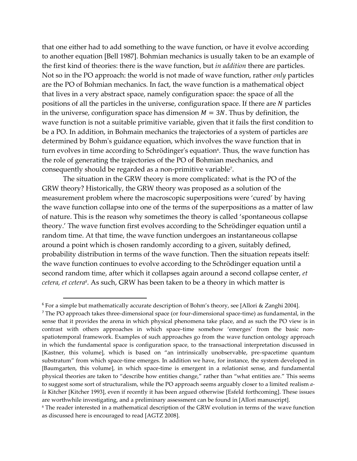that one either had to add something to the wave function, or have it evolve according to another equation [Bell 1987]. Bohmian mechanics is usually taken to be an example of the first kind of theories: there is the wave function, but *in addition* there are particles. Not so in the PO approach: the world is not made of wave function, rather *only* particles are the PO of Bohmian mechanics. In fact, the wave function is a mathematical object that lives in a very abstract space, namely configuration space: the space of all the positions of all the particles in the universe, configuration space. If there are N particles in the universe, configuration space has dimension  $M = 3N$ . Thus by definition, the wave function is not a suitable primitive variable, given that it fails the first condition to be a PO. In addition, in Bohmain mechanics the trajectories of a system of particles are determined by Bohm's guidance equation, which involves the wave function that in turn evolves in time according to Schrödinger's equation<sup>6</sup>. Thus, the wave function has the role of generating the trajectories of the PO of Bohmian mechanics, and consequently should be regarded as a non-primitive variable<sup>7</sup> .

The situation in the GRW theory is more complicated: what is the PO of the GRW theory? Historically, the GRW theory was proposed as a solution of the measurement problem where the macroscopic superpositions were 'cured' by having the wave function collapse into one of the terms of the superpositions as a matter of law of nature. This is the reason why sometimes the theory is called 'spontaneous collapse theory.' The wave function first evolves according to the Schrödinger equation until a random time. At that time, the wave function undergoes an instantaneous collapse around a point which is chosen randomly according to a given, suitably defined, probability distribution in terms of the wave function. Then the situation repeats itself: the wave function continues to evolve according to the Schrödinger equation until a second random time, after which it collapses again around a second collapse center, *et cetera, et cetera<sup>8</sup>* . As such, GRW has been taken to be a theory in which matter is

<sup>6</sup> For a simple but mathematically accurate description of Bohm's theory, see [Allori & Zanghi 2004].

<sup>7</sup> The PO approach takes three-dimensional space (or four-dimensional space-time) as fundamental, in the sense that it provides the arena in which physical phenomena take place, and as such the PO view is in contrast with others approaches in which space-time somehow 'emerges' from the basic nonspatiotemporal framework. Examples of such approaches go from the wave function ontology approach in which the fundamental space is configuration space, to the transactional interpretation discussed in [Kastner, this volume], which is based on "an intrinsically unobservable, pre-spacetime quantum substratum" from which space-time emerges. In addition we have, for instance, the system developed in [Baumgarten, this volume], in which space-time is emergent in a relationist sense, and fundamental physical theories are taken to "describe how entities change," rather than "what entities are." This seems to suggest some sort of structuralism, while the PO approach seems arguably closer to a limited realism *ala* Kitcher [Kitcher 1993], even if recently it has been argued otherwise [Esfeld forthcoming]. These issues are worthwhile investigating, and a preliminary assessment can be found in [Allori manuscript].

<sup>8</sup> The reader interested in a mathematical description of the GRW evolution in terms of the wave function as discussed here is encouraged to read [AGTZ 2008].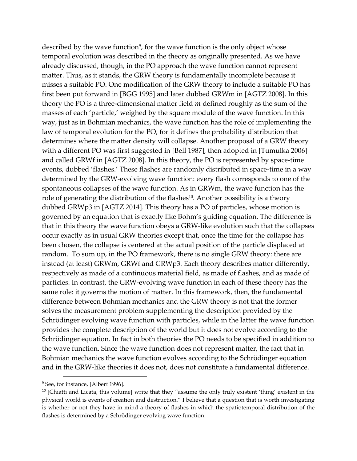described by the wave function<sup>9</sup>, for the wave function is the only object whose temporal evolution was described in the theory as originally presented. As we have already discussed, though, in the PO approach the wave function cannot represent matter. Thus, as it stands, the GRW theory is fundamentally incomplete because it misses a suitable PO. One modification of the GRW theory to include a suitable PO has first been put forward in [BGG 1995] and later dubbed GRWm in [AGTZ 2008]. In this theory the PO is a three-dimensional matter field  $m$  defined roughly as the sum of the masses of each 'particle,' weighed by the square module of the wave function. In this way, just as in Bohmian mechanics, the wave function has the role of implementing the law of temporal evolution for the PO, for it defines the probability distribution that determines where the matter density will collapse. Another proposal of a GRW theory with a different PO was first suggested in [Bell 1987], then adopted in [Tumulka 2006] and called GRWf in [AGTZ 2008]. In this theory, the PO is represented by space-time events, dubbed 'flashes.' These flashes are randomly distributed in space-time in a way determined by the GRW-evolving wave function: every flash corresponds to one of the spontaneous collapses of the wave function. As in GRWm, the wave function has the role of generating the distribution of the flashes<sup>10</sup>. Another possibility is a theory dubbed GRWp3 in [AGTZ 2014]. This theory has a PO of particles, whose motion is governed by an equation that is exactly like Bohm's guiding equation. The difference is that in this theory the wave function obeys a GRW-like evolution such that the collapses occur exactly as in usual GRW theories except that, once the time for the collapse has been chosen, the collapse is centered at the actual position of the particle displaced at random. To sum up, in the PO framework, there is no single GRW theory: there are instead (at least) GRWm, GRWf and GRWp3. Each theory describes matter differently, respectively as made of a continuous material field, as made of flashes, and as made of particles. In contrast, the GRW-evolving wave function in each of these theory has the same role: it governs the motion of matter. In this framework, then, the fundamental difference between Bohmian mechanics and the GRW theory is not that the former solves the measurement problem supplementing the description provided by the Schrödinger evolving wave function with particles, while in the latter the wave function provides the complete description of the world but it does not evolve according to the Schrödinger equation. In fact in both theories the PO needs to be specified in addition to the wave function. Since the wave function does not represent matter, the fact that in Bohmian mechanics the wave function evolves according to the Schrödinger equation and in the GRW-like theories it does not, does not constitute a fundamental difference.

<sup>&</sup>lt;sup>9</sup> See, for instance, [Albert 1996].

<sup>&</sup>lt;sup>10</sup> [Chiatti and Licata, this volume] write that they "assume the only truly existent 'thing' existent in the physical world is events of creation and destruction." I believe that a question that is worth investigating is whether or not they have in mind a theory of flashes in which the spatiotemporal distribution of the flashes is determined by a Schrödinger evolving wave function.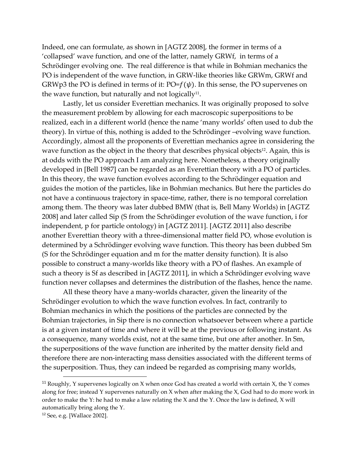Indeed, one can formulate, as shown in [AGTZ 2008], the former in terms of a 'collapsed' wave function, and one of the latter, namely GRWf, in terms of a Schrödinger evolving one. The real difference is that while in Bohmian mechanics the PO is independent of the wave function, in GRW-like theories like GRWm, GRWf and GRWp3 the PO is defined in terms of it:  $PO=f(\psi)$ . In this sense, the PO supervenes on the wave function, but naturally and not logically $^{11}$ .

Lastly, let us consider Everettian mechanics. It was originally proposed to solve the measurement problem by allowing for each macroscopic superpositions to be realized, each in a different world (hence the name 'many worlds' often used to dub the theory). In virtue of this, nothing is added to the Schrödinger –evolving wave function. Accordingly, almost all the proponents of Everettian mechanics agree in considering the wave function as the object in the theory that describes physical objects<sup>12</sup>. Again, this is at odds with the PO approach I am analyzing here. Nonetheless, a theory originally developed in [Bell 1987] can be regarded as an Everettian theory with a PO of particles. In this theory, the wave function evolves according to the Schrödinger equation and guides the motion of the particles, like in Bohmian mechanics. But here the particles do not have a continuous trajectory in space-time, rather, there is no temporal correlation among them. The theory was later dubbed BMW (that is, Bell Many Worlds) in [AGTZ 2008] and later called Sip (S from the Schrödinger evolution of the wave function, i for independent, p for particle ontology) in [AGTZ 2011]. [AGTZ 2011] also describe another Everettian theory with a three-dimensional matter field PO, whose evolution is determined by a Schrödinger evolving wave function. This theory has been dubbed Sm (S for the Schrödinger equation and m for the matter density function). It is also possible to construct a many-worlds like theory with a PO of flashes. An example of such a theory is Sf as described in [AGTZ 2011], in which a Schrödinger evolving wave function never collapses and determines the distribution of the flashes, hence the name.

All these theory have a many-worlds character, given the linearity of the Schrödinger evolution to which the wave function evolves. In fact, contrarily to Bohmian mechanics in which the positions of the particles are connected by the Bohmian trajectories, in Sip there is no connection whatsoever between where a particle is at a given instant of time and where it will be at the previous or following instant. As a consequence, many worlds exist, not at the same time, but one after another. In Sm, the superpositions of the wave function are inherited by the matter density field and therefore there are non-interacting mass densities associated with the different terms of the superposition. Thus, they can indeed be regarded as comprising many worlds,

<sup>&</sup>lt;sup>11</sup> Roughly, Y supervenes logically on X when once God has created a world with certain X, the Y comes along for free; instead Y supervenes naturally on X when after making the X, God had to do more work in order to make the Y: he had to make a law relating the X and the Y. Once the law is defined, X will automatically bring along the Y.

<sup>12</sup> See, e.g. [Wallace 2002].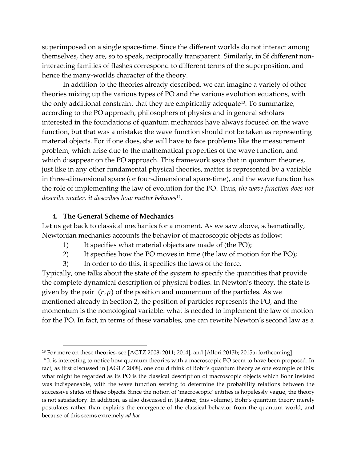superimposed on a single space-time. Since the different worlds do not interact among themselves, they are, so to speak, reciprocally transparent. Similarly, in Sf different noninteracting families of flashes correspond to different terms of the superposition, and hence the many-worlds character of the theory.

In addition to the theories already described, we can imagine a variety of other theories mixing up the various types of PO and the various evolution equations, with the only additional constraint that they are empirically adequate<sup>13</sup>. To summarize, according to the PO approach, philosophers of physics and in general scholars interested in the foundations of quantum mechanics have always focused on the wave function, but that was a mistake: the wave function should not be taken as representing material objects. For if one does, she will have to face problems like the measurement problem, which arise due to the mathematical properties of the wave function, and which disappear on the PO approach. This framework says that in quantum theories, just like in any other fundamental physical theories, matter is represented by a variable in three-dimensional space (or four-dimensional space-time), and the wave function has the role of implementing the law of evolution for the PO. Thus, *the wave function does not describe matter, it describes how matter behaves*<sup>14</sup> .

### **4. The General Scheme of Mechanics**

 $\overline{\phantom{a}}$ 

Let us get back to classical mechanics for a moment. As we saw above, schematically, Newtonian mechanics accounts the behavior of macroscopic objects as follow:

- 1) It specifies what material objects are made of (the PO);
- 2) It specifies how the PO moves in time (the law of motion for the PO);
- 3) In order to do this, it specifies the laws of the force.

Typically, one talks about the state of the system to specify the quantities that provide the complete dynamical description of physical bodies. In Newton's theory, the state is given by the pair  $(r, p)$  of the position and momentum of the particles. As we mentioned already in Section 2, the position of particles represents the PO, and the momentum is the nomological variable: what is needed to implement the law of motion for the PO. In fact, in terms of these variables, one can rewrite Newton's second law as a

<sup>&</sup>lt;sup>13</sup> For more on these theories, see [AGTZ 2008; 2011; 2014], and [Allori 2013b; 2015a; forthcoming].

<sup>&</sup>lt;sup>14</sup> It is interesting to notice how quantum theories with a macroscopic PO seem to have been proposed. In fact, as first discussed in [AGTZ 2008], one could think of Bohr's quantum theory as one example of this: what might be regarded as its PO is the classical description of macroscopic objects which Bohr insisted was indispensable, with the wave function serving to determine the probability relations between the successive states of these objects. Since the notion of 'macroscopic' entities is hopelessly vague, the theory is not satisfactory. In addition, as also discussed in [Kastner, this volume], Bohr's quantum theory merely postulates rather than explains the emergence of the classical behavior from the quantum world, and because of this seems extremely *ad hoc*.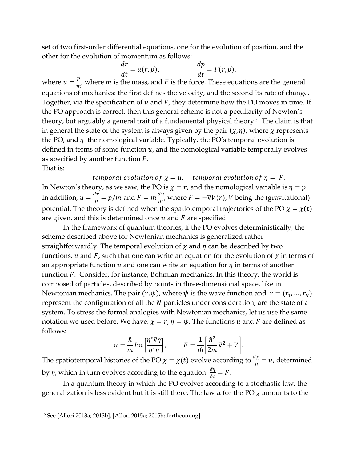set of two first-order differential equations, one for the evolution of position, and the other for the evolution of momentum as follows:

$$
\frac{dr}{dt} = u(r, p), \qquad \qquad \frac{dp}{dt} = F(r, p),
$$

where  $u = \frac{p}{m}$  $\frac{p}{m'}$  where *m* is the mass, and *F* is the force. These equations are the general equations of mechanics: the first defines the velocity, and the second its rate of change. Together, via the specification of  $u$  and  $F$ , they determine how the PO moves in time. If the PO approach is correct, then this general scheme is not a peculiarity of Newton's theory, but arguably a general trait of a fundamental physical theory<sup>15</sup>. The claim is that in general the state of the system is always given by the pair  $(\chi, \eta)$ , where  $\chi$  represents the PO, and  $\eta$  the nomological variable. Typically, the PO's temporal evolution is defined in terms of some function  $u$ , and the nomological variable temporally evolves as specified by another function  $F$ .

That is:

 $\overline{\phantom{a}}$ 

temporal evolution of  $\chi = u$ , temporal evolution of  $\eta = F$ .

In Newton's theory, as we saw, the PO is  $\chi = r$ , and the nomological variable is  $\eta = p$ . In addition,  $u = \frac{dr}{dt}$  $\frac{dr}{dt} = p/m$  and  $F = m \frac{du}{dt}$  $\frac{du}{dt}$ , where  $F = -\nabla V(r)$ , V being the (gravitational) potential. The theory is defined when the spatiotemporal trajectories of the PO  $\chi = \chi(t)$ are given, and this is determined once  $u$  and  $F$  are specified.

In the framework of quantum theories, if the PO evolves deterministically, the scheme described above for Newtonian mechanics is generalized rather straightforwardly. The temporal evolution of  $\chi$  and  $\eta$  can be described by two functions,  $u$  and  $F$ , such that one can write an equation for the evolution of  $\chi$  in terms of an appropriate function  $u$  and one can write an equation for  $\eta$  in terms of another function  $F$ . Consider, for instance, Bohmian mechanics. In this theory, the world is composed of particles, described by points in three-dimensional space, like in Newtonian mechanics. The pair  $(r, \psi)$ , where  $\psi$  is the wave function and  $r = (r_1, ..., r_N)$ represent the configuration of all the  $N$  particles under consideration, are the state of a system. To stress the formal analogies with Newtonian mechanics, let us use the same notation we used before. We have:  $\chi = r$ ,  $\eta = \psi$ . The functions u and F are defined as follows:

$$
u = -\frac{\hbar}{m} Im \left[ \frac{\eta^* \nabla \eta}{\eta^* \eta} \right], \qquad F = \frac{1}{i\hbar} \left[ \frac{\hbar^2}{2m} \nabla^2 + V \right].
$$

The spatiotemporal histories of the PO  $\chi = \chi(t)$  evolve according to  $\frac{dx}{dt} = u$ , determined by  $\eta$ , which in turn evolves according to the equation  $\frac{\delta \eta}{\delta t} = F$ .

In a quantum theory in which the PO evolves according to a stochastic law, the generalization is less evident but it is still there. The law  $u$  for the PO  $\chi$  amounts to the

<sup>15</sup> See [Allori 2013a; 2013b], [Allori 2015a; 2015b; forthcoming].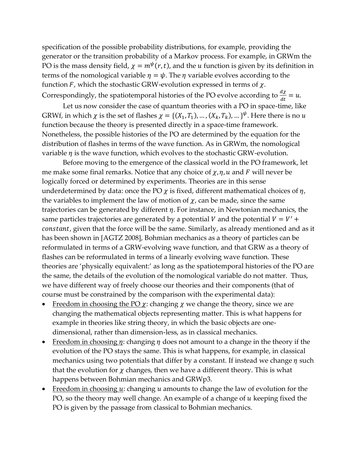specification of the possible probability distributions, for example, providing the generator or the transition probability of a Markov process. For example, in GRWm the PO is the mass density field,  $\chi = m^{\psi}(r,t)$ , and the *u* function is given by its definition in terms of the nomological variable  $\eta = \psi$ . The  $\eta$  variable evolves according to the function  $F$ , which the stochastic GRW-evolution expressed in terms of  $\chi$ . Correspondingly, the spatiotemporal histories of the PO evolve according to  $\frac{dx}{dt} = u$ .

Let us now consider the case of quantum theories with a PO in space-time, like GRWf, in which  $\chi$  is the set of flashes  $\chi = \{(X_1, T_1), ..., (X_k, T_k), ...\}^{\psi}$ . Here there is no  $u$ function because the theory is presented directly in a space-time framework. Nonetheless, the possible histories of the PO are determined by the equation for the distribution of flashes in terms of the wave function. As in GRWm, the nomological variable  $\eta$  is the wave function, which evolves to the stochastic GRW-evolution.

Before moving to the emergence of the classical world in the PO framework, let me make some final remarks. Notice that any choice of  $\chi$ ,  $\eta$ ,  $u$  and  $F$  will never be logically forced or determined by experiments. Theories are in this sense underdetermined by data: once the PO  $\chi$  is fixed, different mathematical choices of  $\eta$ , the variables to implement the law of motion of  $\chi$ , can be made, since the same trajectories can be generated by different  $\eta$ . For instance, in Newtonian mechanics, the same particles trajectories are generated by a potential V and the potential  $V = V' +$ constant, given that the force will be the same. Similarly, as already mentioned and as it has been shown in [AGTZ 2008], Bohmian mechanics as a theory of particles can be reformulated in terms of a GRW-evolving wave function, and that GRW as a theory of flashes can be reformulated in terms of a linearly evolving wave function. These theories are 'physically equivalent:' as long as the spatiotemporal histories of the PO are the same, the details of the evolution of the nomological variable do not matter. Thus, we have different way of freely choose our theories and their components (that of course must be constrained by the comparison with the experimental data):

- Freedom in choosing the PO  $\chi$ : changing  $\chi$  we change the theory, since we are changing the mathematical objects representing matter. This is what happens for example in theories like string theory, in which the basic objects are onedimensional, rather than dimension-less, as in classical mechanics.
- Freedom in choosing  $\eta$ : changing  $\eta$  does not amount to a change in the theory if the evolution of the PO stays the same. This is what happens, for example, in classical mechanics using two potentials that differ by a constant. If instead we change  $\eta$  such that the evolution for  $\chi$  changes, then we have a different theory. This is what happens between Bohmian mechanics and GRWp3.
- Freedom in choosing  $u$ : changing  $u$  amounts to change the law of evolution for the PO, so the theory may well change. An example of a change of  $u$  keeping fixed the PO is given by the passage from classical to Bohmian mechanics.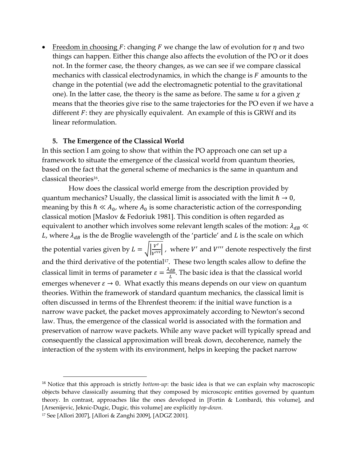Freedom in choosing  $F$ : changing  $F$  we change the law of evolution for  $\eta$  and two things can happen. Either this change also affects the evolution of the PO or it does not. In the former case, the theory changes, as we can see if we compare classical mechanics with classical electrodynamics, in which the change is  $F$  amounts to the change in the potential (we add the electromagnetic potential to the gravitational one). In the latter case, the theory is the same as before. The same  $u$  for a given  $\chi$ means that the theories give rise to the same trajectories for the PO even if we have a different  $F$ : they are physically equivalent. An example of this is GRWf and its linear reformulation.

#### **5. The Emergence of the Classical World**

In this section I am going to show that within the PO approach one can set up a framework to situate the emergence of the classical world from quantum theories, based on the fact that the general scheme of mechanics is the same in quantum and classical theories<sup>16</sup> .

How does the classical world emerge from the description provided by quantum mechanics? Usually, the classical limit is associated with the limit  $\hbar \rightarrow 0$ , meaning by this  $\hbar \ll A_0$ , where  $A_0$  is some characteristic action of the corresponding classical motion [Maslov & Fedoriuk 1981]. This condition is often regarded as equivalent to another which involves some relevant length scales of the motion:  $\lambda_{dB} \ll$ L, where  $\lambda_{dB}$  is the de Broglie wavelength of the 'particle' and L is the scale on which the potential varies given by  $L = \sqrt{\frac{v''}{v''}}$ , where V' and V''' denote respectively the first and the third derivative of the potential $^{17}$ . These two length scales allow to define the classical limit in terms of parameter  $\varepsilon = \frac{\lambda_{dB}}{l}$  $\frac{dB}{L}$ . The basic idea is that the classical world emerges whenever  $\varepsilon \to 0$ . What exactly this means depends on our view on quantum theories. Within the framework of standard quantum mechanics, the classical limit is often discussed in terms of the Ehrenfest theorem: if the initial wave function is a narrow wave packet, the packet moves approximately according to Newton's second law. Thus, the emergence of the classical world is associated with the formation and preservation of narrow wave packets. While any wave packet will typically spread and consequently the classical approximation will break down, decoherence, namely the interaction of the system with its environment, helps in keeping the packet narrow

<sup>16</sup> Notice that this approach is strictly *bottom-up*: the basic idea is that we can explain why macroscopic objects behave classically assuming that they composed by microscopic entities governed by quantum theory. In contrast, approaches like the ones developed in [Fortin & Lombardi, this volume], and [Arsenijevic, Jeknic-Dugic, Dugic, this volume] are explicitly *top-down*.

<sup>17</sup> See [Allori 2007], [Allori & Zanghi 2009], [ADGZ 2001].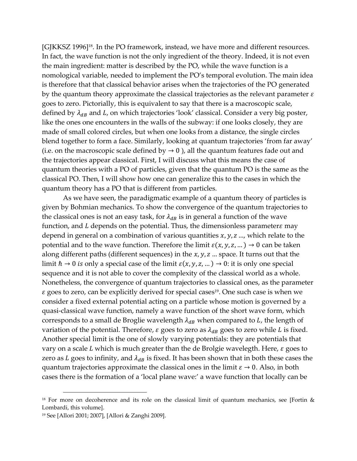[GJKKSZ 1996]<sup>18</sup>. In the PO framework, instead, we have more and different resources. In fact, the wave function is not the only ingredient of the theory. Indeed, it is not even the main ingredient: matter is described by the PO, while the wave function is a nomological variable, needed to implement the PO's temporal evolution. The main idea is therefore that that classical behavior arises when the trajectories of the PO generated by the quantum theory approximate the classical trajectories as the relevant parameter  $\varepsilon$ goes to zero. Pictorially, this is equivalent to say that there is a macroscopic scale, defined by  $\lambda_{dB}$  and L, on which trajectories 'look' classical. Consider a very big poster, like the ones one encounters in the walls of the subway: if one looks closely, they are made of small colored circles, but when one looks from a distance, the single circles blend together to form a face. Similarly, looking at quantum trajectories 'from far away' (i.e. on the macroscopic scale defined by  $\rightarrow$  0), all the quantum features fade out and the trajectories appear classical. First, I will discuss what this means the case of quantum theories with a PO of particles, given that the quantum PO is the same as the classical PO. Then, I will show how one can generalize this to the cases in which the quantum theory has a PO that is different from particles.

As we have seen, the paradigmatic example of a quantum theory of particles is given by Bohmian mechanics. To show the convergence of the quantum trajectories to the classical ones is not an easy task, for  $\lambda_{dB}$  is in general a function of the wave function, and  $L$  depends on the potential. Thus, the dimensionless parameters may depend in general on a combination of various quantities  $x, y, z, \ldots$ , which relate to the potential and to the wave function. Therefore the limit  $\varepsilon(x, y, z, ...) \rightarrow 0$  can be taken along different paths (different sequences) in the  $x, y, z$  ... space. It turns out that the limit  $h \to 0$  is only a special case of the limit  $\varepsilon(x, y, z, ...) \to 0$ : it is only one special sequence and it is not able to cover the complexity of the classical world as a whole. Nonetheless, the convergence of quantum trajectories to classical ones, as the parameter  $\varepsilon$  goes to zero, can be explicitly derived for special cases<sup>19</sup>. One such case is when we consider a fixed external potential acting on a particle whose motion is governed by a quasi-classical wave function, namely a wave function of the short wave form, which corresponds to a small de Broglie wavelength  $\lambda_{dB}$  when compared to L, the length of variation of the potential. Therefore,  $\varepsilon$  goes to zero as  $\lambda_{dB}$  goes to zero while *L* is fixed. Another special limit is the one of slowly varying potentials: they are potentials that vary on a scale  $L$  which is much greater than the de Brolgie wavelegth. Here,  $\varepsilon$  goes to zero as L goes to infinity, and  $\lambda_{dB}$  is fixed. It has been shown that in both these cases the quantum trajectories approximate the classical ones in the limit  $\varepsilon \to 0$ . Also, in both cases there is the formation of a 'local plane wave:' a wave function that locally can be

<sup>&</sup>lt;sup>18</sup> For more on decoherence and its role on the classical limit of quantum mechanics, see [Fortin  $&$ Lombardi, this volume].

<sup>19</sup> See [Allori 2001; 2007], [Allori & Zanghi 2009].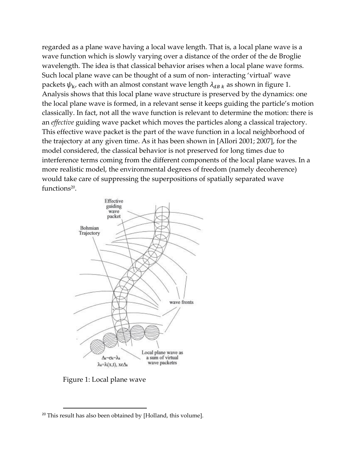regarded as a plane wave having a local wave length. That is, a local plane wave is a wave function which is slowly varying over a distance of the order of the de Broglie wavelength. The idea is that classical behavior arises when a local plane wave forms. Such local plane wave can be thought of a sum of non- interacting 'virtual' wave packets  $\psi_{k}$ , each with an almost constant wave length  $\lambda_{dB\ k}$  as shown in figure 1. Analysis shows that this local plane wave structure is preserved by the dynamics: one the local plane wave is formed, in a relevant sense it keeps guiding the particle's motion classically. In fact, not all the wave function is relevant to determine the motion: there is an *effective* guiding wave packet which moves the particles along a classical trajectory. This effective wave packet is the part of the wave function in a local neighborhood of the trajectory at any given time. As it has been shown in [Allori 2001; 2007], for the model considered, the classical behavior is not preserved for long times due to interference terms coming from the different components of the local plane waves. In a more realistic model, the environmental degrees of freedom (namely decoherence) would take care of suppressing the superpositions of spatially separated wave functions<sup>20</sup>.



Figure 1: Local plane wave

<sup>&</sup>lt;sup>20</sup> This result has also been obtained by [Holland, this volume].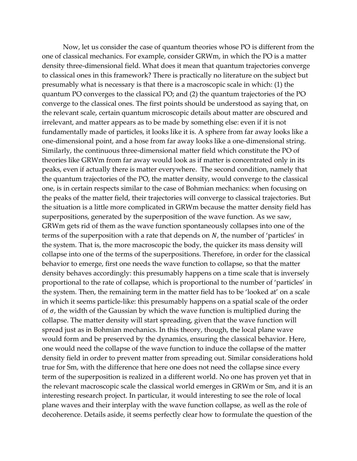Now, let us consider the case of quantum theories whose PO is different from the one of classical mechanics. For example, consider GRWm, in which the PO is a matter density three-dimensional field. What does it mean that quantum trajectories converge to classical ones in this framework? There is practically no literature on the subject but presumably what is necessary is that there is a macroscopic scale in which: (1) the quantum PO converges to the classical PO; and (2) the quantum trajectories of the PO converge to the classical ones. The first points should be understood as saying that, on the relevant scale, certain quantum microscopic details about matter are obscured and irrelevant, and matter appears as to be made by something else: even if it is not fundamentally made of particles, it looks like it is. A sphere from far away looks like a one-dimensional point, and a hose from far away looks like a one-dimensional string. Similarly, the continuous three-dimensional matter field which constitute the PO of theories like GRWm from far away would look as if matter is concentrated only in its peaks, even if actually there is matter everywhere. The second condition, namely that the quantum trajectories of the PO, the matter density, would converge to the classical one, is in certain respects similar to the case of Bohmian mechanics: when focusing on the peaks of the matter field, their trajectories will converge to classical trajectories. But the situation is a little more complicated in GRWm because the matter density field has superpositions, generated by the superposition of the wave function. As we saw, GRWm gets rid of them as the wave function spontaneously collapses into one of the terms of the superposition with a rate that depends on  $N$ , the number of 'particles' in the system. That is, the more macroscopic the body, the quicker its mass density will collapse into one of the terms of the superpositions. Therefore, in order for the classical behavior to emerge, first one needs the wave function to collapse, so that the matter density behaves accordingly: this presumably happens on a time scale that is inversely proportional to the rate of collapse, which is proportional to the number of 'particles' in the system. Then, the remaining term in the matter field has to be 'looked at' on a scale in which it seems particle-like: this presumably happens on a spatial scale of the order of  $\sigma$ , the width of the Gaussian by which the wave function is multiplied during the collapse. The matter density will start spreading, given that the wave function will spread just as in Bohmian mechanics. In this theory, though, the local plane wave would form and be preserved by the dynamics, ensuring the classical behavior. Here, one would need the collapse of the wave function to induce the collapse of the matter density field in order to prevent matter from spreading out. Similar considerations hold true for Sm, with the difference that here one does not need the collapse since every term of the superposition is realized in a different world. No one has proven yet that in the relevant macroscopic scale the classical world emerges in GRWm or Sm, and it is an interesting research project. In particular, it would interesting to see the role of local plane waves and their interplay with the wave function collapse, as well as the role of decoherence. Details aside, it seems perfectly clear how to formulate the question of the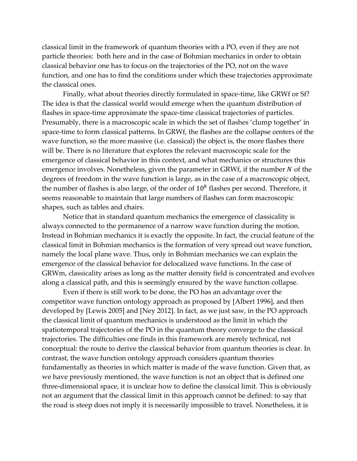classical limit in the framework of quantum theories with a PO, even if they are not particle theories: both here and in the case of Bohmian mechanics in order to obtain classical behavior one has to focus on the trajectories of the PO, not on the wave function, and one has to find the conditions under which these trajectories approximate the classical ones.

Finally, what about theories directly formulated in space-time, like GRWf or Sf? The idea is that the classical world would emerge when the quantum distribution of flashes in space-time approximate the space-time classical trajectories of particles. Presumably, there is a macroscopic scale in which the set of flashes 'clump together' in space-time to form classical patterns. In GRWf, the flashes are the collapse centers of the wave function, so the more massive (i.e. classical) the object is, the more flashes there will be. There is no literature that explores the relevant macroscopic scale for the emergence of classical behavior in this context, and what mechanics or structures this emergence involves. Nonetheless, given the parameter in GRWf, if the number  $N$  of the degrees of freedom in the wave function is large, as in the case of a macroscopic object, the number of flashes is also large, of the order of 10<sup>8</sup> flashes per second. Therefore, it seems reasonable to maintain that large numbers of flashes can form macroscopic shapes, such as tables and chairs.

Notice that in standard quantum mechanics the emergence of classicality is always connected to the permanence of a narrow wave function during the motion. Instead in Bohmian mechanics it is exactly the opposite. In fact, the crucial feature of the classical limit in Bohmian mechanics is the formation of very spread out wave function, namely the local plane wave. Thus, only in Bohmian mechanics we can explain the emergence of the classical behavior for delocalized wave functions. In the case of GRWm, classicality arises as long as the matter density field is concentrated and evolves along a classical path, and this is seemingly ensured by the wave function collapse.

Even if there is still work to be done, the PO has an advantage over the competitor wave function ontology approach as proposed by [Albert 1996], and then developed by [Lewis 2005] and [Ney 2012]. In fact, as we just saw, in the PO approach the classical limit of quantum mechanics is understood as the limit in which the spatiotemporal trajectories of the PO in the quantum theory converge to the classical trajectories. The difficulties one finds in this framework are merely technical, not conceptual: the route to derive the classical behavior from quantum theories is clear. In contrast, the wave function ontology approach considers quantum theories fundamentally as theories in which matter is made of the wave function. Given that, as we have previously mentioned, the wave function is not an object that is defined one three-dimensional space, it is unclear how to define the classical limit. This is obviously not an argument that the classical limit in this approach cannot be defined: to say that the road is steep does not imply it is necessarily impossible to travel. Nonetheless, it is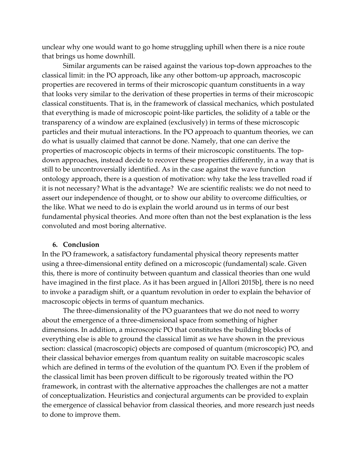unclear why one would want to go home struggling uphill when there is a nice route that brings us home downhill.

Similar arguments can be raised against the various top-down approaches to the classical limit: in the PO approach, like any other bottom-up approach, macroscopic properties are recovered in terms of their microscopic quantum constituents in a way that looks very similar to the derivation of these properties in terms of their microscopic classical constituents. That is, in the framework of classical mechanics, which postulated that everything is made of microscopic point-like particles, the solidity of a table or the transparency of a window are explained (exclusively) in terms of these microscopic particles and their mutual interactions. In the PO approach to quantum theories, we can do what is usually claimed that cannot be done. Namely, that one can derive the properties of macroscopic objects in terms of their microscopic constituents. The topdown approaches, instead decide to recover these properties differently, in a way that is still to be uncontroversially identified. As in the case against the wave function ontology approach, there is a question of motivation: why take the less travelled road if it is not necessary? What is the advantage? We are scientific realists: we do not need to assert our independence of thought, or to show our ability to overcome difficulties, or the like. What we need to do is explain the world around us in terms of our best fundamental physical theories. And more often than not the best explanation is the less convoluted and most boring alternative.

#### **6. Conclusion**

In the PO framework, a satisfactory fundamental physical theory represents matter using a three-dimensional entity defined on a microscopic (fundamental) scale. Given this, there is more of continuity between quantum and classical theories than one wuld have imagined in the first place. As it has been argued in [Allori 2015b], there is no need to invoke a paradigm shift, or a quantum revolution in order to explain the behavior of macroscopic objects in terms of quantum mechanics.

The three-dimensionality of the PO guarantees that we do not need to worry about the emergence of a three-dimensional space from something of higher dimensions. In addition, a microscopic PO that constitutes the building blocks of everything else is able to ground the classical limit as we have shown in the previous section: classical (macroscopic) objects are composed of quantum (microscopic) PO, and their classical behavior emerges from quantum reality on suitable macroscopic scales which are defined in terms of the evolution of the quantum PO. Even if the problem of the classical limit has been proven difficult to be rigorously treated within the PO framework, in contrast with the alternative approaches the challenges are not a matter of conceptualization. Heuristics and conjectural arguments can be provided to explain the emergence of classical behavior from classical theories, and more research just needs to done to improve them.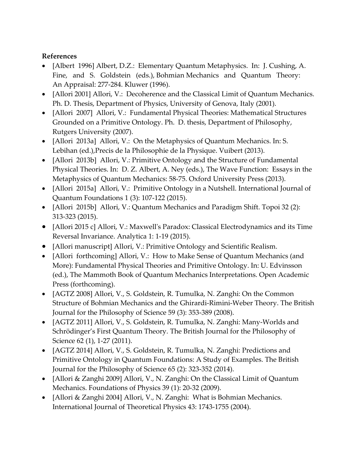## **References**

- [Albert 1996] Albert, D.Z.: Elementary Quantum Metaphysics. In: J. Cushing, A. Fine, and S. Goldstein (eds.), Bohmian Mechanics and Quantum Theory: An Appraisal: 277-284. Kluwer (1996).
- [Allori 2001] Allori, V.: Decoherence and the Classical Limit of Quantum Mechanics. Ph. D. Thesis, Department of Physics, University of Genova, Italy (2001).
- [Allori 2007] Allori, V.: Fundamental Physical Theories: Mathematical Structures Grounded on a Primitive Ontology. Ph. D. thesis, Department of Philosophy, Rutgers University (2007).
- [Allori 2013a] Allori, V.: On the Metaphysics of Quantum Mechanics. In: S. Lebihan (ed.),Precis de la Philosophie de la Physique. Vuibert (2013).
- [Allori 2013b] Allori, V.: Primitive Ontology and the Structure of Fundamental Physical Theories. In: D. Z. Albert, A. Ney (eds.), The Wave Function: Essays in the Metaphysics of Quantum Mechanics: 58-75. Oxford University Press (2013).
- [Allori 2015a] Allori, V.: Primitive Ontology in a Nutshell. International Journal of Quantum Foundations 1 (3): 107-122 (2015).
- [Allori 2015b] Allori, V.: Quantum Mechanics and Paradigm Shift. Topoi 32 (2): 313-323 (2015).
- [Allori 2015 c] Allori, V.: Maxwell's Paradox: Classical Electrodynamics and its Time Reversal Invariance. Analytica 1: 1-19 (2015).
- [Allori manuscript] Allori, V.: Primitive Ontology and Scientific Realism.
- [Allori forthcoming] Allori, V.: How to Make Sense of Quantum Mechanics (and More): Fundamental Physical Theories and Primitive Ontology. In: U. Edvinsson (ed.), The Mammoth Book of Quantum Mechanics Interpretations. Open Academic Press (forthcoming).
- [AGTZ 2008] Allori, V., S. Goldstein, R. Tumulka, N. Zanghi: On the Common Structure of Bohmian Mechanics and the Ghirardi-Rimini-Weber Theory. The British Journal for the Philosophy of Science 59 (3): 353-389 (2008).
- [AGTZ 2011] Allori, V., S. Goldstein, R. Tumulka, N. Zanghi: Many-Worlds and Schrödinger's First Quantum Theory. The British Journal for the Philosophy of Science 62 (1), 1-27 (2011).
- [AGTZ 2014] Allori, V., S. Goldstein, R. Tumulka, N. Zanghi: Predictions and Primitive Ontology in Quantum Foundations: A Study of Examples. The British Journal for the Philosophy of Science 65 (2): 323-352 (2014).
- [Allori & Zanghi 2009] Allori, V., N. Zanghi: On the Classical Limit of Quantum Mechanics. Foundations of Physics 39 (1): 20-32 (2009).
- [Allori & Zanghi 2004] Allori, V., N. Zanghi: What is Bohmian Mechanics. International Journal of Theoretical Physics 43: 1743-1755 (2004).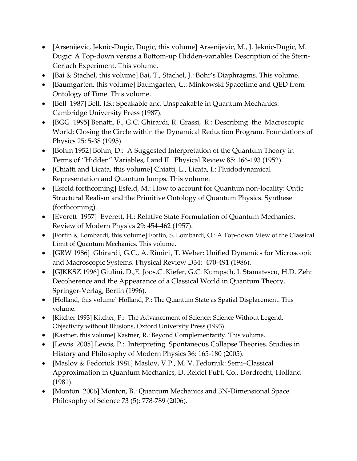- [Arsenijevic, Jeknic-Dugic, Dugic, this volume] Arsenijevic, M., J. Jeknic-Dugic, M. Dugic: A Top-down versus a Bottom-up Hidden-variables Description of the Stern-Gerlach Experiment. This volume.
- [Bai & Stachel, this volume] Bai, T., Stachel, J.: Bohr's Diaphragms. This volume.
- [Baumgarten, this volume] Baumgarten, C.: Minkowski Spacetime and QED from Ontology of Time. This volume.
- [Bell 1987] Bell, J.S.: Speakable and Unspeakable in Quantum Mechanics. Cambridge University Press (1987).
- [BGG 1995] Benatti, F., G.C. Ghirardi, R. Grassi, R.: Describing the Macroscopic World: Closing the Circle within the Dynamical Reduction Program. Foundations of Physics 25: 5-38 (1995).
- [Bohm 1952] Bohm, D.: A Suggested Interpretation of the Quantum Theory in Terms of "Hidden" Variables, I and II. Physical Review 85: 166-193 (1952).
- [Chiatti and Licata, this volume] Chiatti, L., Licata, I.: Fluidodynamical Representation and Quantum Jumps. This volume.
- [Esfeld forthcoming] Esfeld, M.: How to account for Quantum non-locality: Ontic Structural Realism and the Primitive Ontology of Quantum Physics. Synthese (forthcoming).
- [Everett 1957] Everett, H.: Relative State Formulation of Quantum Mechanics. Review of Modern Physics 29: 454-462 (1957).
- [Fortin & Lombardi, this volume] Fortin, S. Lombardi, O.: A Top-down View of the Classical Limit of Quantum Mechanics. This volume.
- [GRW 1986] Ghirardi, G.C., A. Rimini, T. Weber: Unified Dynamics for Microscopic and Macroscopic Systems. Physical Review D34: 470-491 (1986).
- [GJKKSZ 1996] Giulini, D.,E. Joos,C. Kiefer, G.C. Kumpsch, I. Stamatescu, H.D. Zeh: Decoherence and the Appearance of a Classical World in Quantum Theory. Springer-Verlag, Berlin (1996).
- [Holland, this volume] Holland, P.: The Quantum State as Spatial Displacement. This volume.
- [Kitcher 1993] Kitcher, P.: The Advancement of Science: Science Without Legend, Objectivity without Illusions, Oxford University Press (1993).
- [Kastner, this volume] Kastner, R.: Beyond Complementarity. This volume.
- [Lewis 2005] Lewis, P.: Interpreting Spontaneous Collapse Theories. Studies in History and Philosophy of Modern Physics 36: 165-180 (2005).
- [Maslov & Fedoriuk 1981] Maslov, V.P., M. V. Fedoriuk: Semi–Classical Approximation in Quantum Mechanics, D. Reidel Publ. Co., Dordrecht, Holland (1981).
- [Monton 2006] Monton, B.: Quantum Mechanics and 3N-Dimensional Space. Philosophy of Science 73 (5): 778-789 (2006).